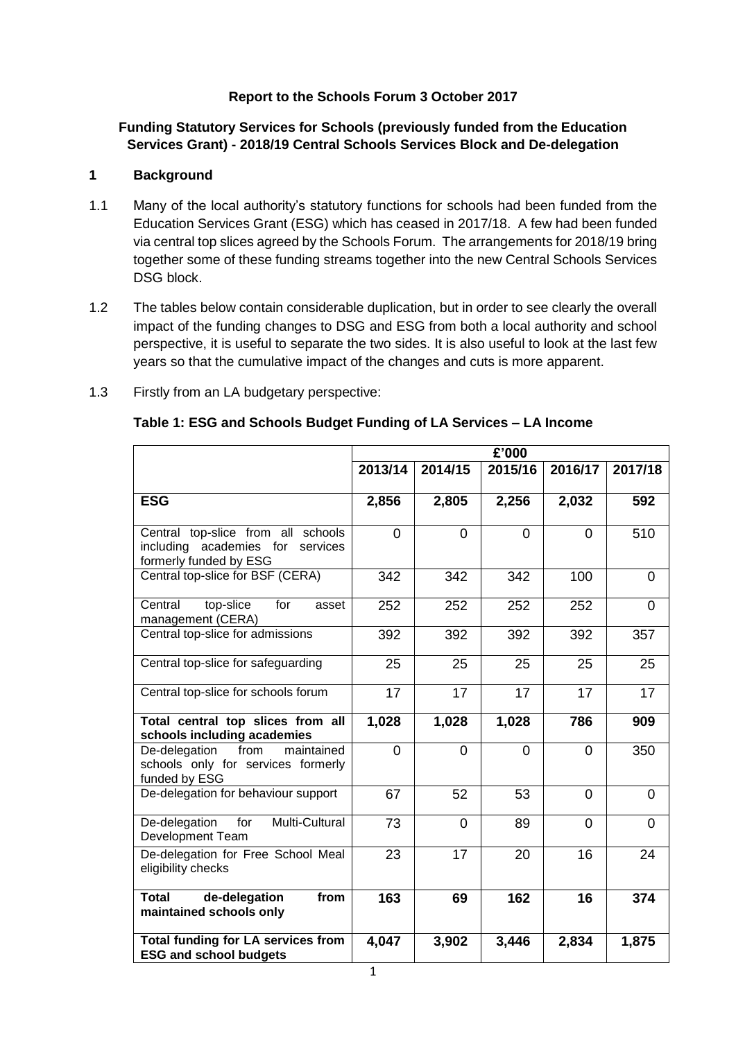#### **Report to the Schools Forum 3 October 2017**

**Funding Statutory Services for Schools (previously funded from the Education Services Grant) - 2018/19 Central Schools Services Block and De-delegation**

#### **1 Background**

- 1.1 Many of the local authority's statutory functions for schools had been funded from the Education Services Grant (ESG) which has ceased in 2017/18. A few had been funded via central top slices agreed by the Schools Forum. The arrangements for 2018/19 bring together some of these funding streams together into the new Central Schools Services DSG block.
- 1.2 The tables below contain considerable duplication, but in order to see clearly the overall impact of the funding changes to DSG and ESG from both a local authority and school perspective, it is useful to separate the two sides. It is also useful to look at the last few years so that the cumulative impact of the changes and cuts is more apparent.

| 1.3 | Firstly from an LA budgetary perspective: |
|-----|-------------------------------------------|
|-----|-------------------------------------------|

|                                                                                                  | $\overline{E}$ '000 |                |                |                |                |
|--------------------------------------------------------------------------------------------------|---------------------|----------------|----------------|----------------|----------------|
|                                                                                                  | 2013/14             | 2014/15        | 2015/16        | 2016/17        | 2017/18        |
| <b>ESG</b>                                                                                       | 2,856               | 2,805          | 2,256          | 2,032          | 592            |
| Central top-slice from all schools<br>including academies for services<br>formerly funded by ESG | $\overline{0}$      | $\Omega$       | $\overline{0}$ | 0              | 510            |
| Central top-slice for BSF (CERA)                                                                 | 342                 | 342            | 342            | 100            | 0              |
| Central<br>top-slice<br>for<br>asset<br>management (CERA)                                        | 252                 | 252            | 252            | 252            | 0              |
| Central top-slice for admissions                                                                 | 392                 | 392            | 392            | 392            | 357            |
| Central top-slice for safeguarding                                                               | 25                  | 25             | 25             | 25             | 25             |
| Central top-slice for schools forum                                                              | 17                  | 17             | 17             | 17             | 17             |
| Total central top slices from all<br>schools including academies                                 | 1,028               | 1,028          | 1,028          | 786            | 909            |
| De-delegation<br>from<br>maintained<br>schools only for services formerly<br>funded by ESG       | $\overline{0}$      | $\overline{0}$ | $\overline{0}$ | 0              | 350            |
| De-delegation for behaviour support                                                              | 67                  | 52             | 53             | $\Omega$       | 0              |
| Multi-Cultural<br>De-delegation<br>for<br><b>Development Team</b>                                | 73                  | $\Omega$       | 89             | $\overline{0}$ | $\overline{0}$ |
| De-delegation for Free School Meal<br>eligibility checks                                         | 23                  | 17             | 20             | 16             | 24             |
| <b>Total</b><br>de-delegation<br>from<br>maintained schools only                                 | 163                 | 69             | 162            | 16             | 374            |
| <b>Total funding for LA services from</b><br><b>ESG and school budgets</b>                       | 4,047               | 3,902          | 3,446          | 2,834          | 1,875          |

#### **Table 1: ESG and Schools Budget Funding of LA Services – LA Income**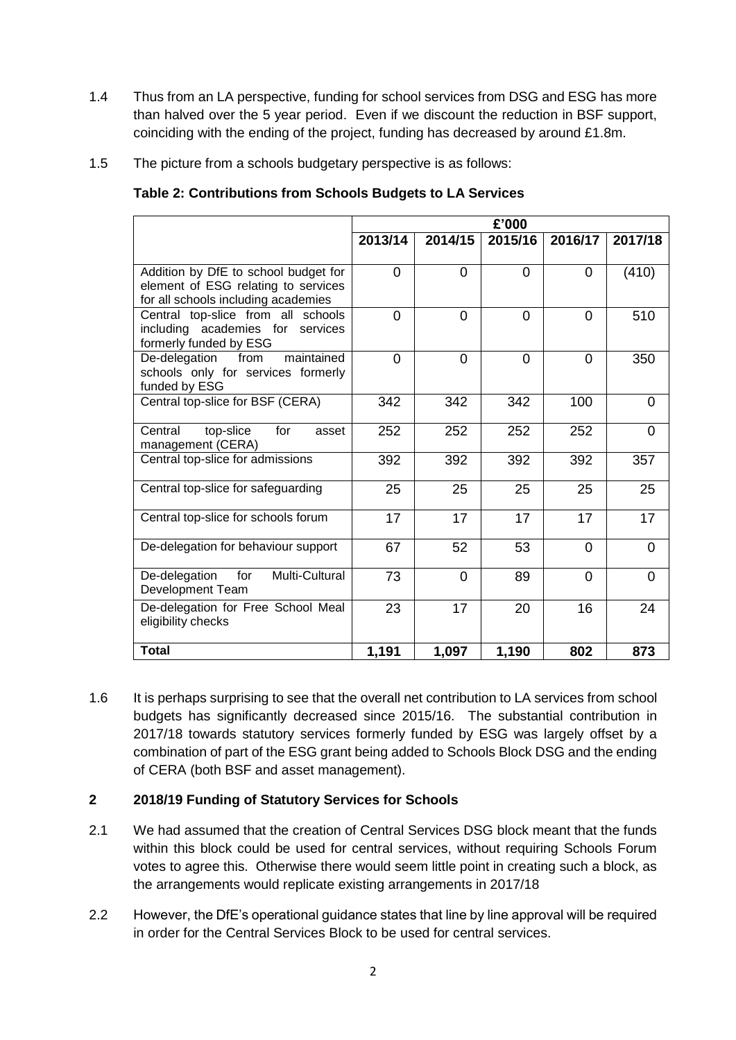- 1.4 Thus from an LA perspective, funding for school services from DSG and ESG has more than halved over the 5 year period. Even if we discount the reduction in BSF support, coinciding with the ending of the project, funding has decreased by around £1.8m.
- 1.5 The picture from a schools budgetary perspective is as follows:

|                                                                                                                    |                |                | £'000          |          |          |
|--------------------------------------------------------------------------------------------------------------------|----------------|----------------|----------------|----------|----------|
|                                                                                                                    |                |                |                |          |          |
|                                                                                                                    | 2013/14        | 2014/15        | 2015/16        | 2016/17  | 2017/18  |
| Addition by DfE to school budget for<br>element of ESG relating to services<br>for all schools including academies | $\overline{0}$ | $\Omega$       | $\Omega$       | 0        | (410)    |
| Central top-slice from all schools<br>including academies for<br>services<br>formerly funded by ESG                | 0              | $\overline{0}$ | $\overline{0}$ | 0        | 510      |
| maintained<br>De-delegation<br>from<br>schools only for services formerly<br>funded by ESG                         | 0              | $\Omega$       | $\Omega$       | 0        | 350      |
| Central top-slice for BSF (CERA)                                                                                   | 342            | 342            | 342            | 100      | $\Omega$ |
| top-slice<br>for<br>Central<br>asset<br>management (CERA)                                                          | 252            | 252            | 252            | 252      | $\Omega$ |
| Central top-slice for admissions                                                                                   | 392            | 392            | 392            | 392      | 357      |
| Central top-slice for safeguarding                                                                                 | 25             | 25             | 25             | 25       | 25       |
| Central top-slice for schools forum                                                                                | 17             | 17             | 17             | 17       | 17       |
| De-delegation for behaviour support                                                                                | 67             | 52             | 53             | $\Omega$ | $\Omega$ |
| Multi-Cultural<br>De-delegation<br>for<br>Development Team                                                         | 73             | $\Omega$       | 89             | $\Omega$ | $\Omega$ |
| De-delegation for Free School Meal<br>eligibility checks                                                           | 23             | 17             | 20             | 16       | 24       |
| <b>Total</b>                                                                                                       | 1,191          | 1,097          | 1,190          | 802      | 873      |

1.6 It is perhaps surprising to see that the overall net contribution to LA services from school budgets has significantly decreased since 2015/16. The substantial contribution in 2017/18 towards statutory services formerly funded by ESG was largely offset by a combination of part of the ESG grant being added to Schools Block DSG and the ending of CERA (both BSF and asset management).

## **2 2018/19 Funding of Statutory Services for Schools**

- 2.1 We had assumed that the creation of Central Services DSG block meant that the funds within this block could be used for central services, without requiring Schools Forum votes to agree this. Otherwise there would seem little point in creating such a block, as the arrangements would replicate existing arrangements in 2017/18
- 2.2 However, the DfE's operational guidance states that line by line approval will be required in order for the Central Services Block to be used for central services.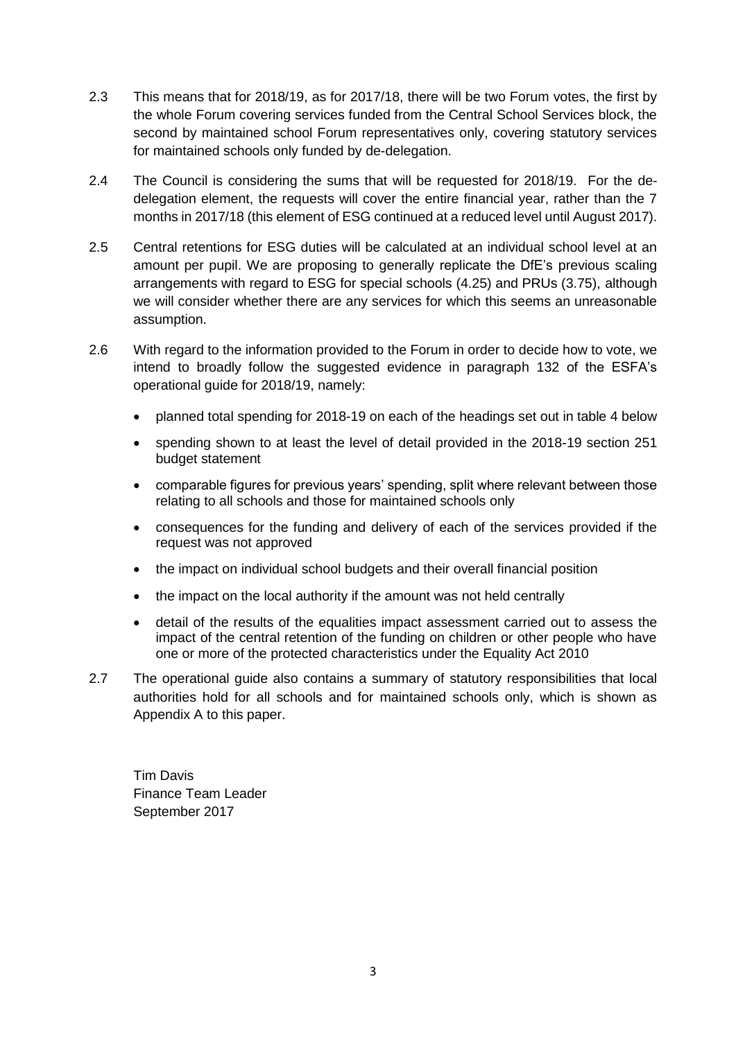- 2.3 This means that for 2018/19, as for 2017/18, there will be two Forum votes, the first by the whole Forum covering services funded from the Central School Services block, the second by maintained school Forum representatives only, covering statutory services for maintained schools only funded by de-delegation.
- 2.4 The Council is considering the sums that will be requested for 2018/19. For the dedelegation element, the requests will cover the entire financial year, rather than the 7 months in 2017/18 (this element of ESG continued at a reduced level until August 2017).
- 2.5 Central retentions for ESG duties will be calculated at an individual school level at an amount per pupil. We are proposing to generally replicate the DfE's previous scaling arrangements with regard to ESG for special schools (4.25) and PRUs (3.75), although we will consider whether there are any services for which this seems an unreasonable assumption.
- 2.6 With regard to the information provided to the Forum in order to decide how to vote, we intend to broadly follow the suggested evidence in paragraph 132 of the ESFA's operational guide for 2018/19, namely:
	- planned total spending for 2018-19 on each of the headings set out in table 4 below
	- spending shown to at least the level of detail provided in the 2018-19 section 251 budget statement
	- comparable figures for previous years' spending, split where relevant between those relating to all schools and those for maintained schools only
	- consequences for the funding and delivery of each of the services provided if the request was not approved
	- the impact on individual school budgets and their overall financial position
	- the impact on the local authority if the amount was not held centrally
	- detail of the results of the equalities impact assessment carried out to assess the impact of the central retention of the funding on children or other people who have one or more of the protected characteristics under the Equality Act 2010
- 2.7 The operational guide also contains a summary of statutory responsibilities that local authorities hold for all schools and for maintained schools only, which is shown as Appendix A to this paper.

Tim Davis Finance Team Leader September 2017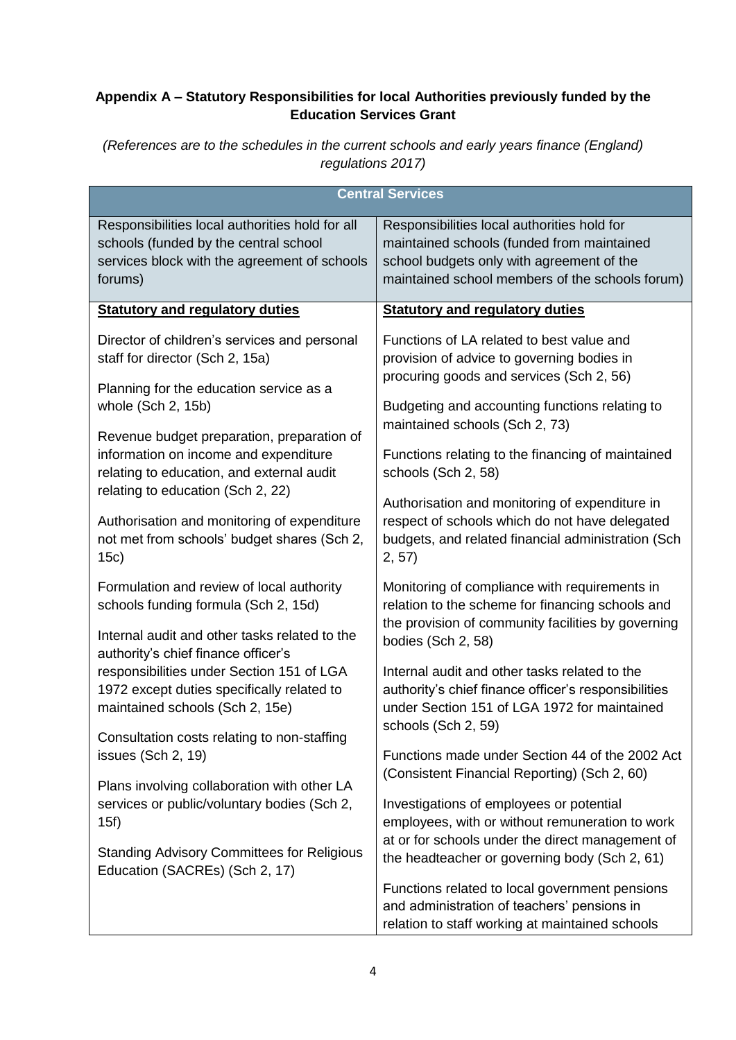# **Appendix A – Statutory Responsibilities for local Authorities previously funded by the Education Services Grant**

*(References are to the schedules in the current schools and early years finance (England) regulations 2017)*

| <b>Central Services</b>                                                                                                                                           |                                                                                                                                                                                                    |  |  |
|-------------------------------------------------------------------------------------------------------------------------------------------------------------------|----------------------------------------------------------------------------------------------------------------------------------------------------------------------------------------------------|--|--|
| Responsibilities local authorities hold for all<br>schools (funded by the central school<br>services block with the agreement of schools<br>forums)               | Responsibilities local authorities hold for<br>maintained schools (funded from maintained<br>school budgets only with agreement of the<br>maintained school members of the schools forum)          |  |  |
| <b>Statutory and regulatory duties</b>                                                                                                                            | <b>Statutory and regulatory duties</b>                                                                                                                                                             |  |  |
| Director of children's services and personal<br>staff for director (Sch 2, 15a)<br>Planning for the education service as a                                        | Functions of LA related to best value and<br>provision of advice to governing bodies in<br>procuring goods and services (Sch 2, 56)                                                                |  |  |
| whole (Sch 2, 15b)<br>Revenue budget preparation, preparation of                                                                                                  | Budgeting and accounting functions relating to<br>maintained schools (Sch 2, 73)                                                                                                                   |  |  |
| information on income and expenditure<br>relating to education, and external audit<br>relating to education (Sch 2, 22)                                           | Functions relating to the financing of maintained<br>schools (Sch 2, 58)                                                                                                                           |  |  |
| Authorisation and monitoring of expenditure<br>not met from schools' budget shares (Sch 2,<br>15c)                                                                | Authorisation and monitoring of expenditure in<br>respect of schools which do not have delegated<br>budgets, and related financial administration (Sch<br>2, 57)                                   |  |  |
| Formulation and review of local authority<br>schools funding formula (Sch 2, 15d)<br>Internal audit and other tasks related to the                                | Monitoring of compliance with requirements in<br>relation to the scheme for financing schools and<br>the provision of community facilities by governing                                            |  |  |
| authority's chief finance officer's<br>responsibilities under Section 151 of LGA<br>1972 except duties specifically related to<br>maintained schools (Sch 2, 15e) | bodies (Sch 2, 58)<br>Internal audit and other tasks related to the<br>authority's chief finance officer's responsibilities<br>under Section 151 of LGA 1972 for maintained<br>schools (Sch 2, 59) |  |  |
| Consultation costs relating to non-staffing<br>issues (Sch 2, 19)                                                                                                 | Functions made under Section 44 of the 2002 Act<br>(Consistent Financial Reporting) (Sch 2, 60)                                                                                                    |  |  |
| Plans involving collaboration with other LA<br>services or public/voluntary bodies (Sch 2,<br>15f)                                                                | Investigations of employees or potential<br>employees, with or without remuneration to work<br>at or for schools under the direct management of                                                    |  |  |
| <b>Standing Advisory Committees for Religious</b><br>Education (SACREs) (Sch 2, 17)                                                                               | the headteacher or governing body (Sch 2, 61)                                                                                                                                                      |  |  |
|                                                                                                                                                                   | Functions related to local government pensions<br>and administration of teachers' pensions in<br>relation to staff working at maintained schools                                                   |  |  |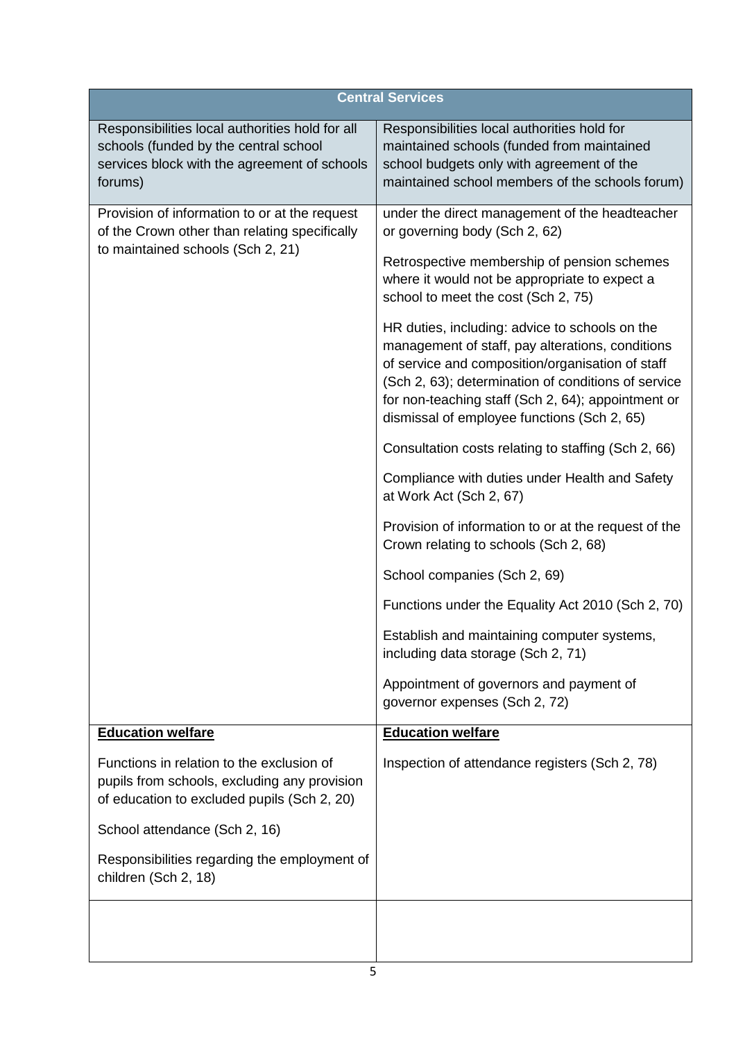|                                                                                                                                                     | <b>Central Services</b>                                                                                                                                                                                                                                                                                            |
|-----------------------------------------------------------------------------------------------------------------------------------------------------|--------------------------------------------------------------------------------------------------------------------------------------------------------------------------------------------------------------------------------------------------------------------------------------------------------------------|
| Responsibilities local authorities hold for all<br>schools (funded by the central school<br>services block with the agreement of schools<br>forums) | Responsibilities local authorities hold for<br>maintained schools (funded from maintained<br>school budgets only with agreement of the<br>maintained school members of the schools forum)                                                                                                                          |
| Provision of information to or at the request<br>of the Crown other than relating specifically                                                      | under the direct management of the headteacher<br>or governing body (Sch 2, 62)                                                                                                                                                                                                                                    |
| to maintained schools (Sch 2, 21)                                                                                                                   | Retrospective membership of pension schemes<br>where it would not be appropriate to expect a<br>school to meet the cost (Sch 2, 75)                                                                                                                                                                                |
|                                                                                                                                                     | HR duties, including: advice to schools on the<br>management of staff, pay alterations, conditions<br>of service and composition/organisation of staff<br>(Sch 2, 63); determination of conditions of service<br>for non-teaching staff (Sch 2, 64); appointment or<br>dismissal of employee functions (Sch 2, 65) |
|                                                                                                                                                     | Consultation costs relating to staffing (Sch 2, 66)                                                                                                                                                                                                                                                                |
|                                                                                                                                                     | Compliance with duties under Health and Safety<br>at Work Act (Sch 2, 67)                                                                                                                                                                                                                                          |
|                                                                                                                                                     | Provision of information to or at the request of the<br>Crown relating to schools (Sch 2, 68)                                                                                                                                                                                                                      |
|                                                                                                                                                     | School companies (Sch 2, 69)                                                                                                                                                                                                                                                                                       |
|                                                                                                                                                     | Functions under the Equality Act 2010 (Sch 2, 70)                                                                                                                                                                                                                                                                  |
|                                                                                                                                                     | Establish and maintaining computer systems,<br>including data storage (Sch 2, 71)                                                                                                                                                                                                                                  |
|                                                                                                                                                     | Appointment of governors and payment of<br>governor expenses (Sch 2, 72)                                                                                                                                                                                                                                           |
| <b>Education welfare</b>                                                                                                                            | <b>Education welfare</b>                                                                                                                                                                                                                                                                                           |
| Functions in relation to the exclusion of<br>pupils from schools, excluding any provision<br>of education to excluded pupils (Sch 2, 20)            | Inspection of attendance registers (Sch 2, 78)                                                                                                                                                                                                                                                                     |
| School attendance (Sch 2, 16)                                                                                                                       |                                                                                                                                                                                                                                                                                                                    |
| Responsibilities regarding the employment of<br>children (Sch 2, 18)                                                                                |                                                                                                                                                                                                                                                                                                                    |
|                                                                                                                                                     |                                                                                                                                                                                                                                                                                                                    |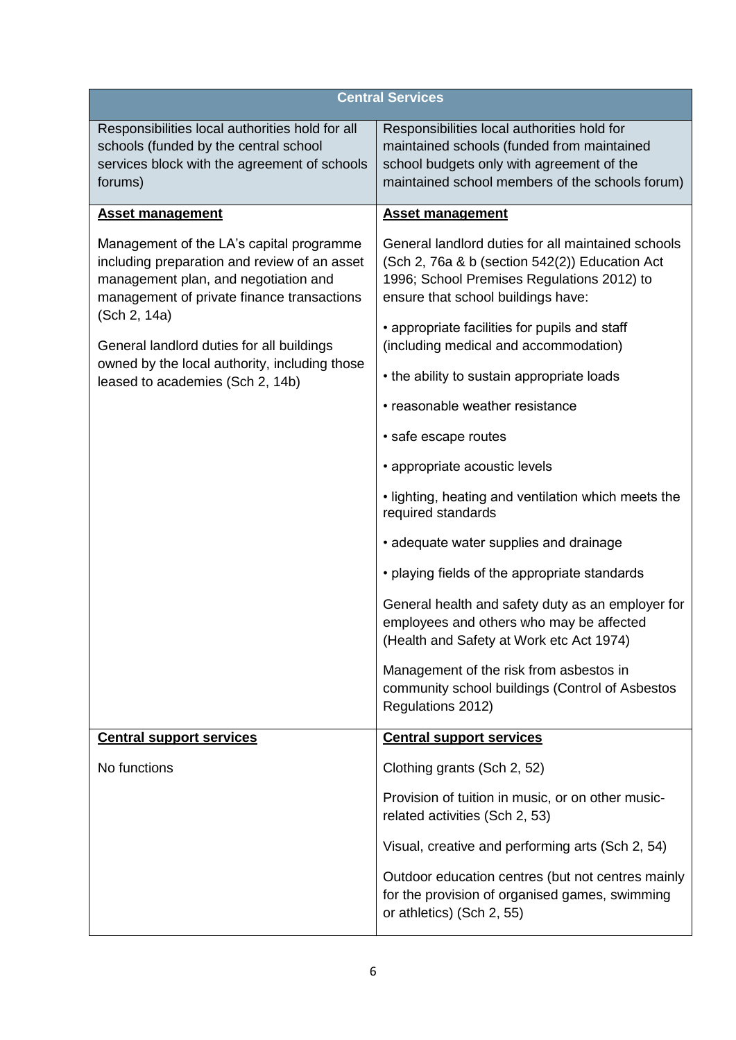| <b>Central Services</b>                                                                                                                                                                        |                                                                                                                                                                                           |  |  |
|------------------------------------------------------------------------------------------------------------------------------------------------------------------------------------------------|-------------------------------------------------------------------------------------------------------------------------------------------------------------------------------------------|--|--|
| Responsibilities local authorities hold for all<br>schools (funded by the central school<br>services block with the agreement of schools<br>forums)                                            | Responsibilities local authorities hold for<br>maintained schools (funded from maintained<br>school budgets only with agreement of the<br>maintained school members of the schools forum) |  |  |
| <b>Asset management</b>                                                                                                                                                                        | <b>Asset management</b>                                                                                                                                                                   |  |  |
| Management of the LA's capital programme<br>including preparation and review of an asset<br>management plan, and negotiation and<br>management of private finance transactions<br>(Sch 2, 14a) | General landlord duties for all maintained schools<br>(Sch 2, 76a & b (section 542(2)) Education Act<br>1996; School Premises Regulations 2012) to<br>ensure that school buildings have:  |  |  |
| General landlord duties for all buildings                                                                                                                                                      | • appropriate facilities for pupils and staff<br>(including medical and accommodation)                                                                                                    |  |  |
| owned by the local authority, including those<br>leased to academies (Sch 2, 14b)                                                                                                              | • the ability to sustain appropriate loads                                                                                                                                                |  |  |
|                                                                                                                                                                                                | • reasonable weather resistance                                                                                                                                                           |  |  |
|                                                                                                                                                                                                | · safe escape routes                                                                                                                                                                      |  |  |
|                                                                                                                                                                                                | • appropriate acoustic levels                                                                                                                                                             |  |  |
|                                                                                                                                                                                                | . lighting, heating and ventilation which meets the<br>required standards                                                                                                                 |  |  |
|                                                                                                                                                                                                | • adequate water supplies and drainage                                                                                                                                                    |  |  |
|                                                                                                                                                                                                | • playing fields of the appropriate standards                                                                                                                                             |  |  |
|                                                                                                                                                                                                | General health and safety duty as an employer for<br>employees and others who may be affected<br>(Health and Safety at Work etc Act 1974)                                                 |  |  |
|                                                                                                                                                                                                | Management of the risk from asbestos in<br>community school buildings (Control of Asbestos<br>Regulations 2012)                                                                           |  |  |
| <b>Central support services</b>                                                                                                                                                                | <b>Central support services</b>                                                                                                                                                           |  |  |
| No functions                                                                                                                                                                                   | Clothing grants (Sch 2, 52)                                                                                                                                                               |  |  |
|                                                                                                                                                                                                | Provision of tuition in music, or on other music-<br>related activities (Sch 2, 53)                                                                                                       |  |  |
|                                                                                                                                                                                                | Visual, creative and performing arts (Sch 2, 54)                                                                                                                                          |  |  |
|                                                                                                                                                                                                | Outdoor education centres (but not centres mainly<br>for the provision of organised games, swimming<br>or athletics) (Sch 2, 55)                                                          |  |  |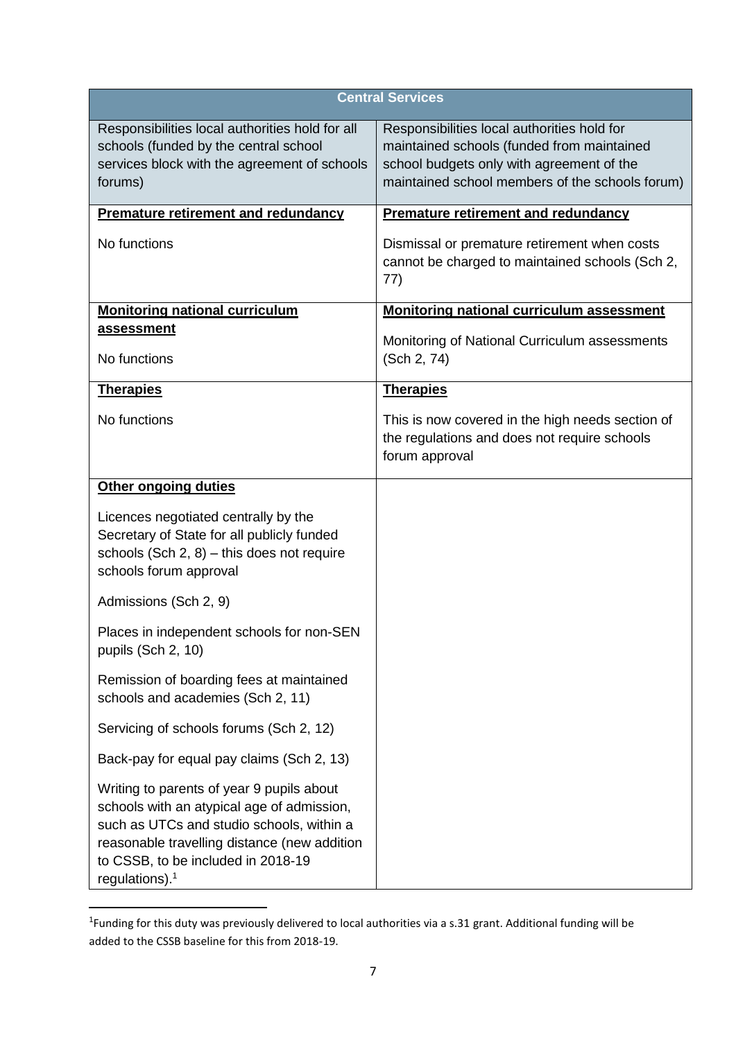| <b>Central Services</b>                                                                                                                                                                                                                                  |                                                                                                                                                                                           |  |  |
|----------------------------------------------------------------------------------------------------------------------------------------------------------------------------------------------------------------------------------------------------------|-------------------------------------------------------------------------------------------------------------------------------------------------------------------------------------------|--|--|
| Responsibilities local authorities hold for all<br>schools (funded by the central school<br>services block with the agreement of schools<br>forums)                                                                                                      | Responsibilities local authorities hold for<br>maintained schools (funded from maintained<br>school budgets only with agreement of the<br>maintained school members of the schools forum) |  |  |
| <b>Premature retirement and redundancy</b>                                                                                                                                                                                                               | <b>Premature retirement and redundancy</b>                                                                                                                                                |  |  |
| No functions                                                                                                                                                                                                                                             | Dismissal or premature retirement when costs<br>cannot be charged to maintained schools (Sch 2,<br>77)                                                                                    |  |  |
| <b>Monitoring national curriculum</b>                                                                                                                                                                                                                    | <b>Monitoring national curriculum assessment</b>                                                                                                                                          |  |  |
| <b>assessment</b><br>No functions                                                                                                                                                                                                                        | Monitoring of National Curriculum assessments<br>(Sch 2, 74)                                                                                                                              |  |  |
| <b>Therapies</b>                                                                                                                                                                                                                                         | <b>Therapies</b>                                                                                                                                                                          |  |  |
| No functions                                                                                                                                                                                                                                             | This is now covered in the high needs section of<br>the regulations and does not require schools<br>forum approval                                                                        |  |  |
| <b>Other ongoing duties</b>                                                                                                                                                                                                                              |                                                                                                                                                                                           |  |  |
| Licences negotiated centrally by the<br>Secretary of State for all publicly funded<br>schools $(Sch 2, 8)$ – this does not require<br>schools forum approval                                                                                             |                                                                                                                                                                                           |  |  |
| Admissions (Sch 2, 9)                                                                                                                                                                                                                                    |                                                                                                                                                                                           |  |  |
| Places in independent schools for non-SEN<br>pupils (Sch 2, 10)                                                                                                                                                                                          |                                                                                                                                                                                           |  |  |
| Remission of boarding fees at maintained<br>schools and academies (Sch 2, 11)                                                                                                                                                                            |                                                                                                                                                                                           |  |  |
| Servicing of schools forums (Sch 2, 12)                                                                                                                                                                                                                  |                                                                                                                                                                                           |  |  |
| Back-pay for equal pay claims (Sch 2, 13)                                                                                                                                                                                                                |                                                                                                                                                                                           |  |  |
| Writing to parents of year 9 pupils about<br>schools with an atypical age of admission,<br>such as UTCs and studio schools, within a<br>reasonable travelling distance (new addition<br>to CSSB, to be included in 2018-19<br>regulations). <sup>1</sup> |                                                                                                                                                                                           |  |  |

<sup>&</sup>lt;sup>1</sup>Funding for this duty was previously delivered to local authorities via a s.31 grant. Additional funding will be added to the CSSB baseline for this from 2018-19.

**.**